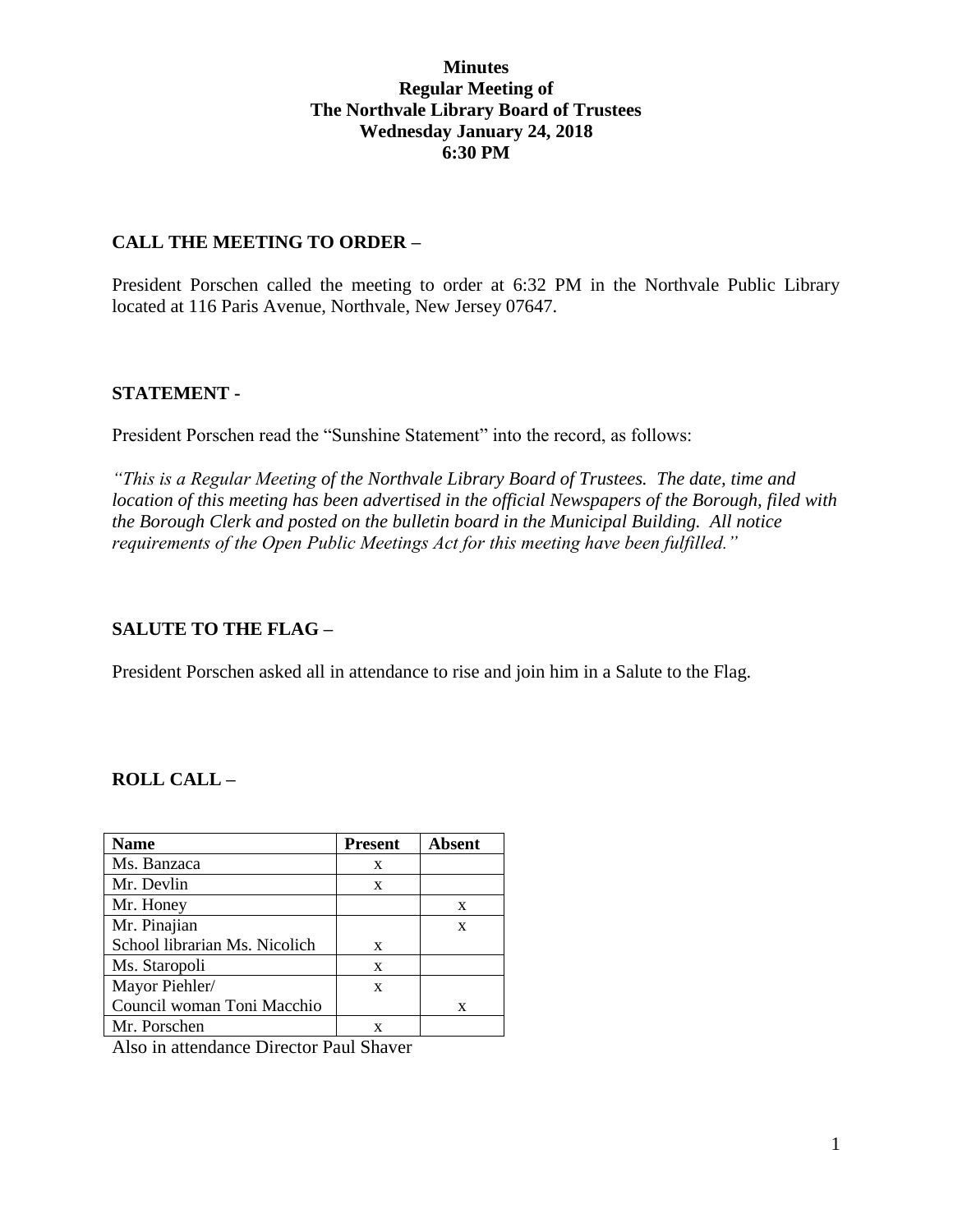### **Minutes Regular Meeting of The Northvale Library Board of Trustees Wednesday January 24, 2018 6:30 PM**

### **CALL THE MEETING TO ORDER –**

President Porschen called the meeting to order at 6:32 PM in the Northvale Public Library located at 116 Paris Avenue, Northvale, New Jersey 07647.

### **STATEMENT -**

President Porschen read the "Sunshine Statement" into the record, as follows:

*"This is a Regular Meeting of the Northvale Library Board of Trustees. The date, time and location of this meeting has been advertised in the official Newspapers of the Borough, filed with the Borough Clerk and posted on the bulletin board in the Municipal Building. All notice requirements of the Open Public Meetings Act for this meeting have been fulfilled."* 

## **SALUTE TO THE FLAG –**

President Porschen asked all in attendance to rise and join him in a Salute to the Flag.

## **ROLL CALL –**

| <b>Name</b>                   | <b>Present</b> | Absent |
|-------------------------------|----------------|--------|
| Ms. Banzaca                   | X              |        |
| Mr. Devlin                    | X              |        |
| Mr. Honey                     |                | X      |
| Mr. Pinajian                  |                | X      |
| School librarian Ms. Nicolich | X              |        |
| Ms. Staropoli                 | X              |        |
| Mayor Piehler/                | X              |        |
| Council woman Toni Macchio    |                | X      |
| Mr. Porschen                  | x              |        |

Also in attendance Director Paul Shaver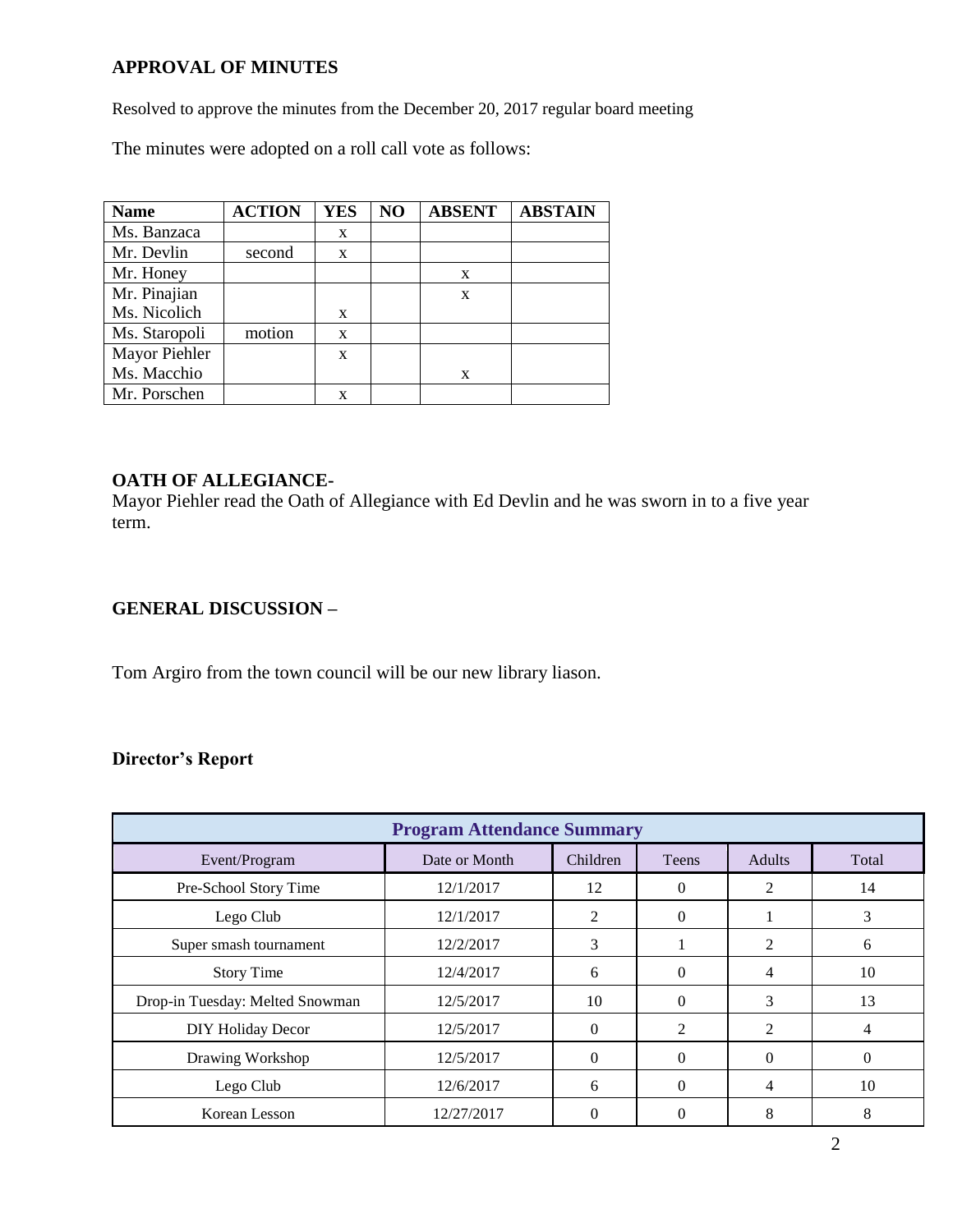## **APPROVAL OF MINUTES**

Resolved to approve the minutes from the December 20, 2017 regular board meeting

The minutes were adopted on a roll call vote as follows:

| <b>Name</b>   | <b>ACTION</b> | <b>YES</b> | NO | <b>ABSENT</b> | <b>ABSTAIN</b> |
|---------------|---------------|------------|----|---------------|----------------|
| Ms. Banzaca   |               | X          |    |               |                |
| Mr. Devlin    | second        | X          |    |               |                |
| Mr. Honey     |               |            |    | X             |                |
| Mr. Pinajian  |               |            |    | X             |                |
| Ms. Nicolich  |               | X          |    |               |                |
| Ms. Staropoli | motion        | X          |    |               |                |
| Mayor Piehler |               | X          |    |               |                |
| Ms. Macchio   |               |            |    | X             |                |
| Mr. Porschen  |               | X          |    |               |                |

# **OATH OF ALLEGIANCE-**

Mayor Piehler read the Oath of Allegiance with Ed Devlin and he was sworn in to a five year term.

## **GENERAL DISCUSSION –**

Tom Argiro from the town council will be our new library liason.

## **Director's Report**

| <b>Program Attendance Summary</b> |               |          |          |                |       |  |  |
|-----------------------------------|---------------|----------|----------|----------------|-------|--|--|
| Event/Program                     | Date or Month | Children | Teens    | <b>Adults</b>  | Total |  |  |
| Pre-School Story Time             | 12/1/2017     | 12       | $\Omega$ | 2              | 14    |  |  |
| Lego Club                         | 12/1/2017     | 2        | $\Omega$ |                | 3     |  |  |
| Super smash tournament            | 12/2/2017     | 3        |          | $\overline{2}$ | 6     |  |  |
| <b>Story Time</b>                 | 12/4/2017     | 6        | $\Omega$ | 4              | 10    |  |  |
| Drop-in Tuesday: Melted Snowman   | 12/5/2017     | 10       | $\Omega$ | 3              | 13    |  |  |
| <b>DIY Holiday Decor</b>          | 12/5/2017     | $\Omega$ | 2        | 2              | 4     |  |  |
| Drawing Workshop                  | 12/5/2017     | $\Omega$ | $\Omega$ | $\Omega$       | 0     |  |  |
| Lego Club                         | 12/6/2017     | 6        | $\Omega$ | 4              | 10    |  |  |
| Korean Lesson                     | 12/27/2017    | 0        | $\Omega$ | 8              | 8     |  |  |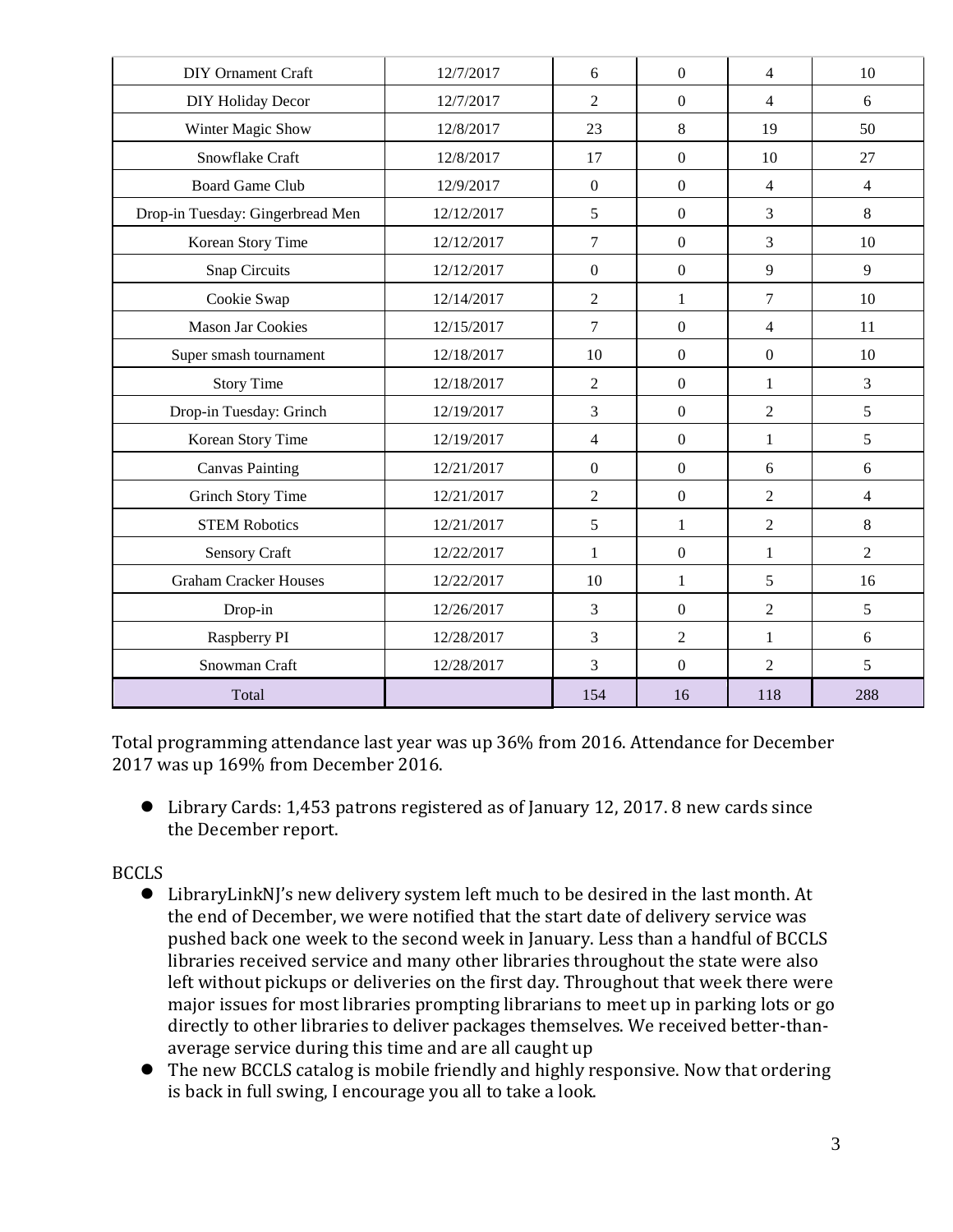| <b>DIY Ornament Craft</b>        | 12/7/2017  | 6                | $\boldsymbol{0}$ | 4                | 10             |
|----------------------------------|------------|------------------|------------------|------------------|----------------|
| DIY Holiday Decor                | 12/7/2017  | $\overline{2}$   | $\overline{0}$   | $\overline{4}$   | 6              |
| Winter Magic Show                | 12/8/2017  | 23               | 8                | 19               | 50             |
| Snowflake Craft                  | 12/8/2017  | 17               | $\overline{0}$   | 10               | 27             |
| <b>Board Game Club</b>           | 12/9/2017  | $\boldsymbol{0}$ | $\boldsymbol{0}$ | $\overline{4}$   | $\overline{4}$ |
| Drop-in Tuesday: Gingerbread Men | 12/12/2017 | 5                | $\boldsymbol{0}$ | $\overline{3}$   | 8              |
| Korean Story Time                | 12/12/2017 | $\tau$           | $\overline{0}$   | 3                | 10             |
| <b>Snap Circuits</b>             | 12/12/2017 | $\boldsymbol{0}$ | $\boldsymbol{0}$ | 9                | 9              |
| Cookie Swap                      | 12/14/2017 | $\overline{2}$   | $\mathbf{1}$     | $\overline{7}$   | 10             |
| Mason Jar Cookies                | 12/15/2017 | $\overline{7}$   | $\boldsymbol{0}$ | $\overline{4}$   | 11             |
| Super smash tournament           | 12/18/2017 | 10               | $\overline{0}$   | $\boldsymbol{0}$ | 10             |
| <b>Story Time</b>                | 12/18/2017 | $\overline{2}$   | $\boldsymbol{0}$ | 1                | $\overline{3}$ |
| Drop-in Tuesday: Grinch          | 12/19/2017 | 3                | $\overline{0}$   | $\overline{2}$   | 5              |
| Korean Story Time                | 12/19/2017 | $\overline{4}$   | $\boldsymbol{0}$ | $\mathbf 1$      | 5              |
| <b>Canvas Painting</b>           | 12/21/2017 | $\boldsymbol{0}$ | $\boldsymbol{0}$ | 6                | 6              |
| <b>Grinch Story Time</b>         | 12/21/2017 | $\mathfrak{2}$   | $\boldsymbol{0}$ | $\overline{2}$   | $\overline{4}$ |
| <b>STEM Robotics</b>             | 12/21/2017 | 5                | $\mathbf{1}$     | $\overline{2}$   | 8              |
| Sensory Craft                    | 12/22/2017 | $\mathbf{1}$     | $\boldsymbol{0}$ | $\mathbf{1}$     | $\overline{2}$ |
| <b>Graham Cracker Houses</b>     | 12/22/2017 | 10               | $\mathbf{1}$     | 5                | 16             |
| Drop-in                          | 12/26/2017 | 3                | $\boldsymbol{0}$ | $\overline{2}$   | 5              |
| Raspberry PI                     | 12/28/2017 | 3                | $\overline{2}$   | $\mathbf{1}$     | 6              |
| Snowman Craft                    | 12/28/2017 | 3                | $\boldsymbol{0}$ | $\overline{2}$   | 5              |
| Total                            |            | 154              | 16               | 118              | 288            |

Total programming attendance last year was up 36% from 2016. Attendance for December 2017 was up 169% from December 2016.

 Library Cards: 1,453 patrons registered as of January 12, 2017. 8 new cards since the December report.

BCCLS

- LibraryLinkNJ's new delivery system left much to be desired in the last month. At the end of December, we were notified that the start date of delivery service was pushed back one week to the second week in January. Less than a handful of BCCLS libraries received service and many other libraries throughout the state were also left without pickups or deliveries on the first day. Throughout that week there were major issues for most libraries prompting librarians to meet up in parking lots or go directly to other libraries to deliver packages themselves. We received better-thanaverage service during this time and are all caught up
- The new BCCLS catalog is mobile friendly and highly responsive. Now that ordering is back in full swing, I encourage you all to take a look.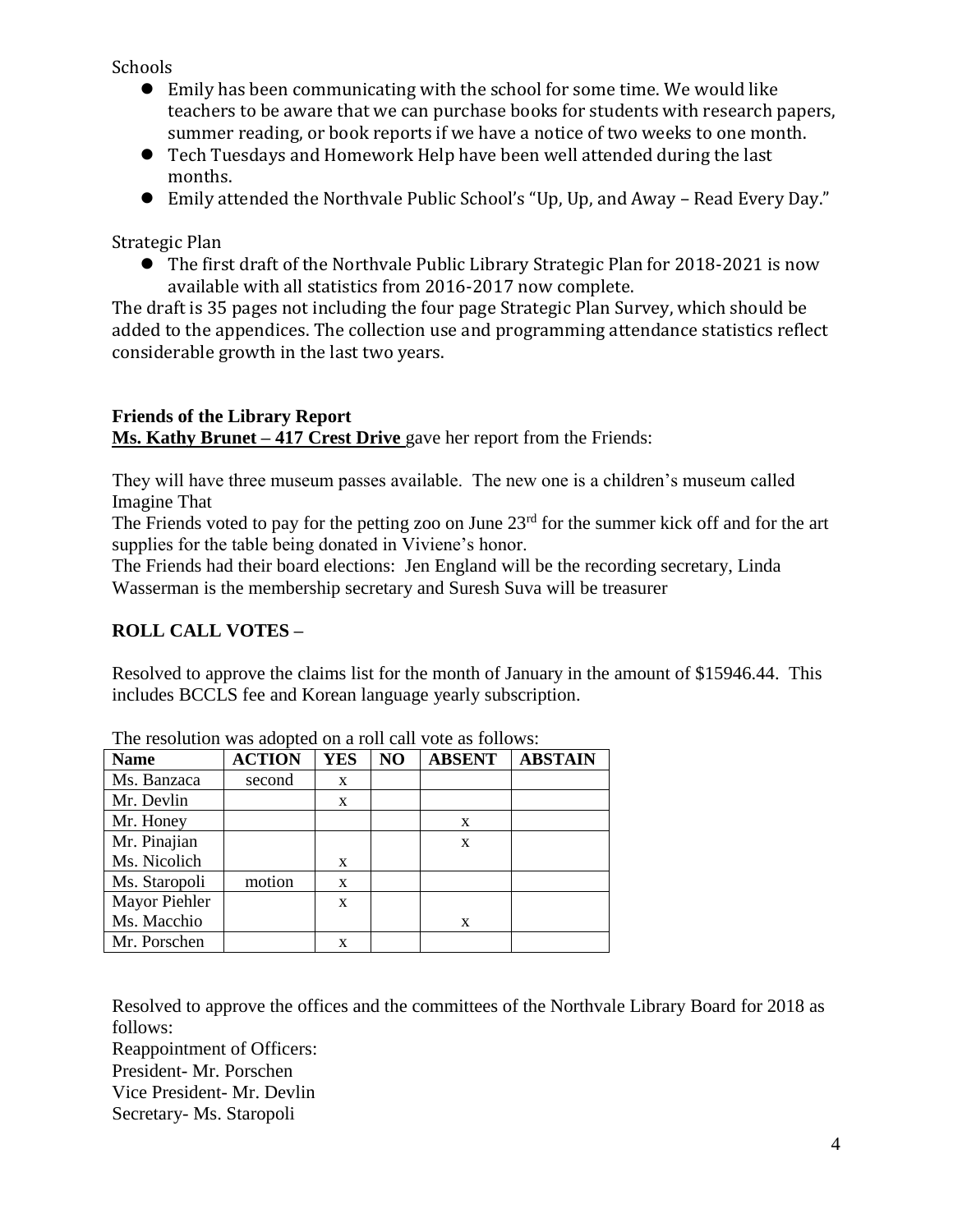Schools

- Emily has been communicating with the school for some time. We would like teachers to be aware that we can purchase books for students with research papers, summer reading, or book reports if we have a notice of two weeks to one month.
- Tech Tuesdays and Homework Help have been well attended during the last months.
- Emily attended the Northvale Public School's "Up, Up, and Away Read Every Day."

Strategic Plan

 The first draft of the Northvale Public Library Strategic Plan for 2018-2021 is now available with all statistics from 2016-2017 now complete.

The draft is 35 pages not including the four page Strategic Plan Survey, which should be added to the appendices. The collection use and programming attendance statistics reflect considerable growth in the last two years.

## **Friends of the Library Report Ms. Kathy Brunet – 417 Crest Drive** gave her report from the Friends:

They will have three museum passes available. The new one is a children's museum called Imagine That

The Friends voted to pay for the petting zoo on June  $23<sup>rd</sup>$  for the summer kick off and for the art supplies for the table being donated in Viviene's honor.

The Friends had their board elections: Jen England will be the recording secretary, Linda Wasserman is the membership secretary and Suresh Suva will be treasurer

# **ROLL CALL VOTES –**

Resolved to approve the claims list for the month of January in the amount of \$15946.44. This includes BCCLS fee and Korean language yearly subscription.

| <b>Name</b>   | <b>ACTION</b> | <b>YES</b> | NO | <b>ABSENT</b> | <b>ABSTAIN</b> |
|---------------|---------------|------------|----|---------------|----------------|
| Ms. Banzaca   | second        | X          |    |               |                |
| Mr. Devlin    |               | X          |    |               |                |
| Mr. Honey     |               |            |    | X             |                |
| Mr. Pinajian  |               |            |    | X             |                |
| Ms. Nicolich  |               | X          |    |               |                |
| Ms. Staropoli | motion        | X          |    |               |                |
| Mayor Piehler |               | X          |    |               |                |
| Ms. Macchio   |               |            |    | X             |                |
| Mr. Porschen  |               | x          |    |               |                |

Resolved to approve the offices and the committees of the Northvale Library Board for 2018 as follows:

Reappointment of Officers: President- Mr. Porschen Vice President- Mr. Devlin Secretary- Ms. Staropoli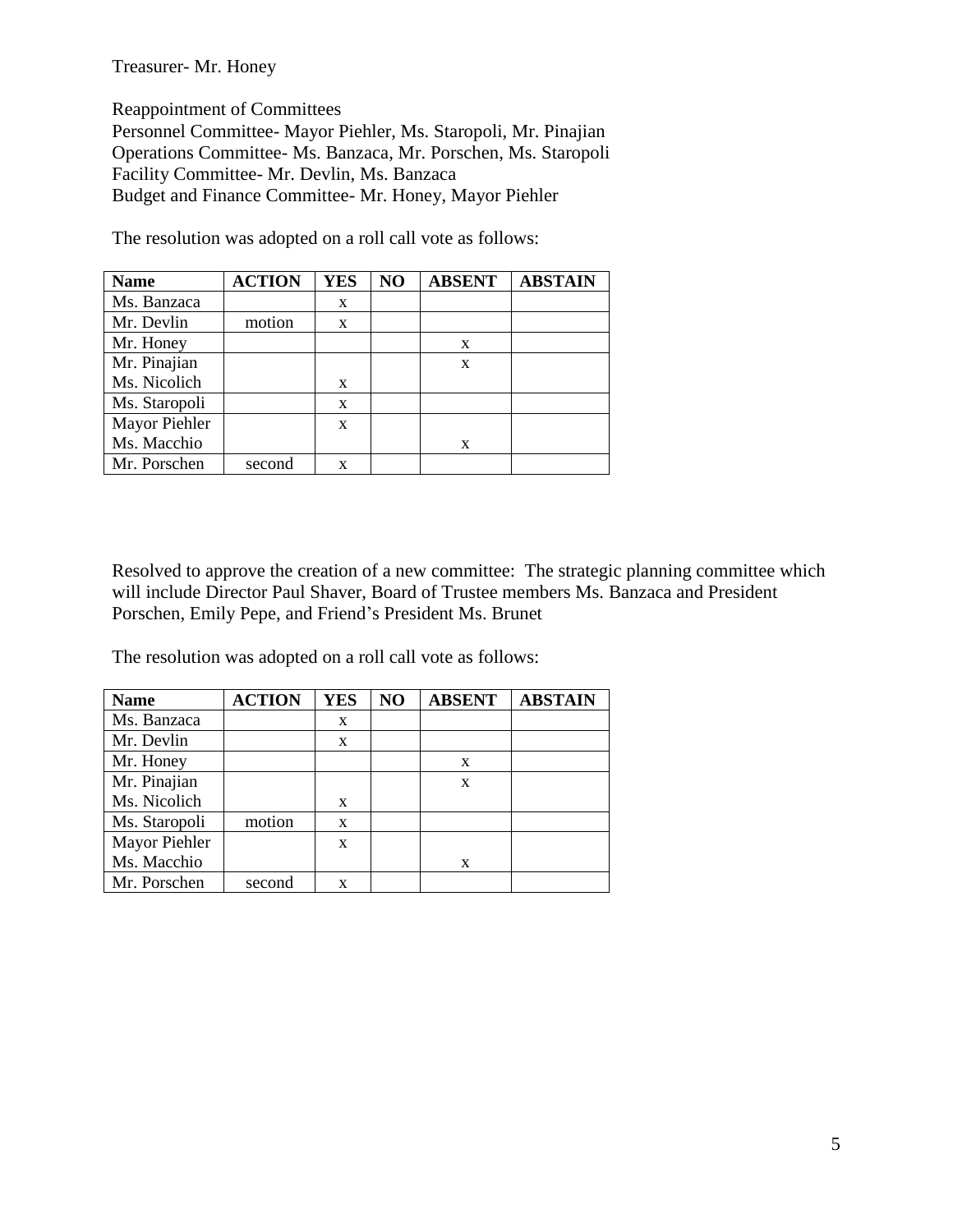#### Treasurer- Mr. Honey

Reappointment of Committees

Personnel Committee- Mayor Piehler, Ms. Staropoli, Mr. Pinajian Operations Committee- Ms. Banzaca, Mr. Porschen, Ms. Staropoli Facility Committee- Mr. Devlin, Ms. Banzaca Budget and Finance Committee- Mr. Honey, Mayor Piehler

The resolution was adopted on a roll call vote as follows:

| <b>Name</b>   | <b>ACTION</b> | <b>YES</b> | NO | <b>ABSENT</b> | <b>ABSTAIN</b> |
|---------------|---------------|------------|----|---------------|----------------|
| Ms. Banzaca   |               | X          |    |               |                |
| Mr. Devlin    | motion        | X          |    |               |                |
| Mr. Honey     |               |            |    | X             |                |
| Mr. Pinajian  |               |            |    | X             |                |
| Ms. Nicolich  |               | X          |    |               |                |
| Ms. Staropoli |               | X          |    |               |                |
| Mayor Piehler |               | X          |    |               |                |
| Ms. Macchio   |               |            |    | X             |                |
| Mr. Porschen  | second        | X          |    |               |                |

Resolved to approve the creation of a new committee: The strategic planning committee which will include Director Paul Shaver, Board of Trustee members Ms. Banzaca and President Porschen, Emily Pepe, and Friend's President Ms. Brunet

The resolution was adopted on a roll call vote as follows:

| <b>Name</b>   | <b>ACTION</b> | <b>YES</b> | NO | <b>ABSENT</b> | <b>ABSTAIN</b> |
|---------------|---------------|------------|----|---------------|----------------|
| Ms. Banzaca   |               | X          |    |               |                |
| Mr. Devlin    |               | X          |    |               |                |
| Mr. Honey     |               |            |    | X             |                |
| Mr. Pinajian  |               |            |    | X             |                |
| Ms. Nicolich  |               | X          |    |               |                |
| Ms. Staropoli | motion        | X          |    |               |                |
| Mayor Piehler |               | X          |    |               |                |
| Ms. Macchio   |               |            |    | X             |                |
| Mr. Porschen  | second        | X          |    |               |                |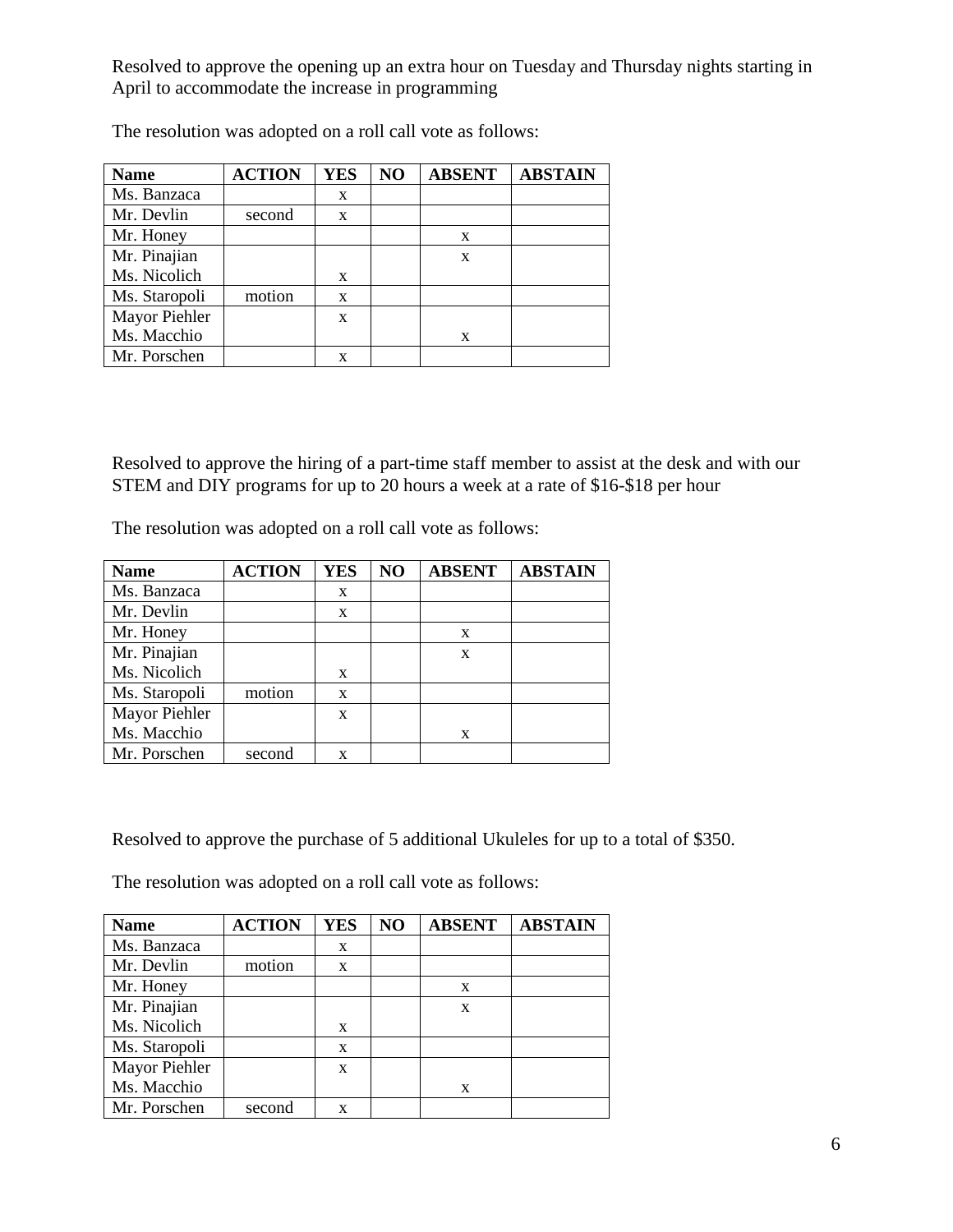Resolved to approve the opening up an extra hour on Tuesday and Thursday nights starting in April to accommodate the increase in programming

| <b>Name</b>   | <b>ACTION</b> | <b>YES</b> | NO | <b>ABSENT</b> | <b>ABSTAIN</b> |
|---------------|---------------|------------|----|---------------|----------------|
| Ms. Banzaca   |               | X          |    |               |                |
| Mr. Devlin    | second        | X          |    |               |                |
| Mr. Honey     |               |            |    | X             |                |
| Mr. Pinajian  |               |            |    | X             |                |
| Ms. Nicolich  |               | X          |    |               |                |
| Ms. Staropoli | motion        | X          |    |               |                |
| Mayor Piehler |               | X          |    |               |                |
| Ms. Macchio   |               |            |    | X             |                |
| Mr. Porschen  |               | X          |    |               |                |

The resolution was adopted on a roll call vote as follows:

Resolved to approve the hiring of a part-time staff member to assist at the desk and with our STEM and DIY programs for up to 20 hours a week at a rate of \$16-\$18 per hour

The resolution was adopted on a roll call vote as follows:

| <b>Name</b>   | <b>ACTION</b> | <b>YES</b> | NO | <b>ABSENT</b> | <b>ABSTAIN</b> |
|---------------|---------------|------------|----|---------------|----------------|
| Ms. Banzaca   |               | X          |    |               |                |
| Mr. Devlin    |               | X          |    |               |                |
| Mr. Honey     |               |            |    | X             |                |
| Mr. Pinajian  |               |            |    | X             |                |
| Ms. Nicolich  |               | X          |    |               |                |
| Ms. Staropoli | motion        | X          |    |               |                |
| Mayor Piehler |               | X          |    |               |                |
| Ms. Macchio   |               |            |    | X             |                |
| Mr. Porschen  | second        | X          |    |               |                |

Resolved to approve the purchase of 5 additional Ukuleles for up to a total of \$350.

The resolution was adopted on a roll call vote as follows:

| <b>Name</b>   | <b>ACTION</b> | <b>YES</b> | NO | <b>ABSENT</b> | <b>ABSTAIN</b> |
|---------------|---------------|------------|----|---------------|----------------|
| Ms. Banzaca   |               | X          |    |               |                |
| Mr. Devlin    | motion        | X          |    |               |                |
| Mr. Honey     |               |            |    | X             |                |
| Mr. Pinajian  |               |            |    | X             |                |
| Ms. Nicolich  |               | X          |    |               |                |
| Ms. Staropoli |               | X          |    |               |                |
| Mayor Piehler |               | X          |    |               |                |
| Ms. Macchio   |               |            |    | X             |                |
| Mr. Porschen  | second        | x          |    |               |                |